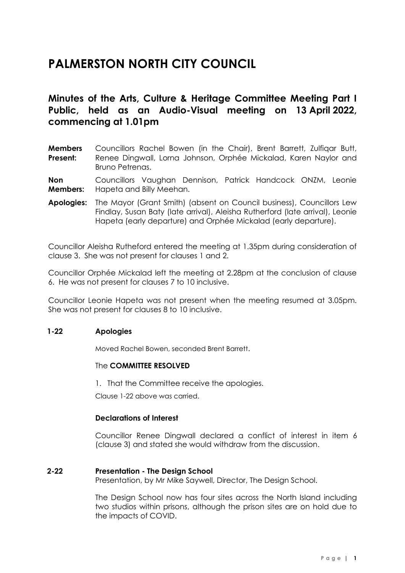# **PALMERSTON NORTH CITY COUNCIL**

**Minutes of the Arts, Culture & Heritage Committee Meeting Part I Public, held as an Audio-Visual meeting on 13 April 2022, commencing at 1.01pm**

**Members Present:** Councillors Rachel Bowen (in the Chair), Brent Barrett, Zulfiqar Butt, Renee Dingwall, Lorna Johnson, Orphée Mickalad, Karen Naylor and Bruno Petrenas.

**Non Members:** Councillors Vaughan Dennison, Patrick Handcock ONZM, Leonie Hapeta and Billy Meehan.

**Apologies:** The Mayor (Grant Smith) (absent on Council business), Councillors Lew Findlay, Susan Baty (late arrival), Aleisha Rutherford (late arrival), Leonie Hapeta (early departure) and Orphée Mickalad (early departure).

Councillor Aleisha Rutheford entered the meeting at 1.35pm during consideration of clause 3. She was not present for clauses 1 and 2.

Councillor Orphée Mickalad left the meeting at 2.28pm at the conclusion of clause 6. He was not present for clauses 7 to 10 inclusive.

Councillor Leonie Hapeta was not present when the meeting resumed at 3.05pm. She was not present for clauses 8 to 10 inclusive.

#### **1-22 Apologies**

Moved Rachel Bowen, seconded Brent Barrett.

#### The **COMMITTEE RESOLVED**

1. That the Committee receive the apologies.

Clause 1-22 above was carried.

#### **Declarations of Interest**

Councillor Renee Dingwall declared a conflict of interest in item 6 (clause 3) and stated she would withdraw from the discussion.

#### **2-22 Presentation - The Design School**

Presentation, by Mr Mike Saywell, Director, The Design School.

The Design School now has four sites across the North Island including two studios within prisons, although the prison sites are on hold due to the impacts of COVID.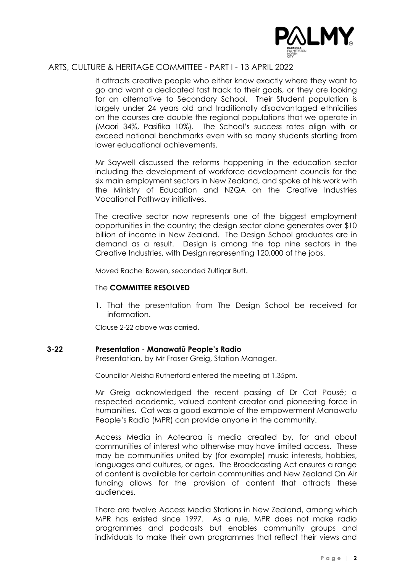

It attracts creative people who either know exactly where they want to go and want a dedicated fast track to their goals, or they are looking for an alternative to Secondary School. Their Student population is largely under 24 years old and traditionally disadvantaged ethnicities on the courses are double the regional populations that we operate in (Maori 34%, Pasifika 10%). The School's success rates align with or exceed national benchmarks even with so many students starting from lower educational achievements.

Mr Saywell discussed the reforms happening in the education sector including the development of workforce development councils for the six main employment sectors in New Zealand, and spoke of his work with the Ministry of Education and NZQA on the Creative Industries Vocational Pathway initiatives.

The creative sector now represents one of the biggest employment opportunities in the country; the design sector alone generates over \$10 billion of income in New Zealand. The Design School graduates are in demand as a result. Design is among the top nine sectors in the Creative Industries, with Design representing 120,000 of the jobs.

Moved Rachel Bowen, seconded Zulfiqar Butt.

#### The **COMMITTEE RESOLVED**

1. That the presentation from The Design School be received for information.

Clause 2-22 above was carried.

#### **3-22 Presentation - Manawatū People's Radio**

Presentation, by Mr Fraser Greig, Station Manager.

Councillor Aleisha Rutherford entered the meeting at 1.35pm.

Mr Greig acknowledged the recent passing of Dr Cat Pausé; a respected academic, valued content creator and pioneering force in humanities. Cat was a good example of the empowerment Manawatu People's Radio (MPR) can provide anyone in the community.

Access Media in Aotearoa is media created by, for and about communities of interest who otherwise may have limited access. These may be communities united by (for example) music interests, hobbies, languages and cultures, or ages. The Broadcasting Act ensures a range of content is available for certain communities and New Zealand On Air funding allows for the provision of content that attracts these audiences.

There are twelve Access Media Stations in New Zealand, among which MPR has existed since 1997. As a rule, MPR does not make radio programmes and podcasts but enables community groups and individuals to make their own programmes that reflect their views and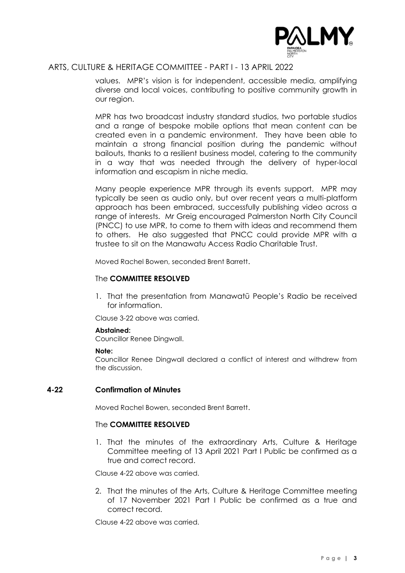

values. MPR's vision is for independent, accessible media, amplifying diverse and local voices, contributing to positive community growth in our region.

MPR has two broadcast industry standard studios, two portable studios and a range of bespoke mobile options that mean content can be created even in a pandemic environment. They have been able to maintain a strong financial position during the pandemic without bailouts, thanks to a resilient business model, catering to the community in a way that was needed through the delivery of hyper-local information and escapism in niche media.

Many people experience MPR through its events support. MPR may typically be seen as audio only, but over recent years a multi-platform approach has been embraced, successfully publishing video across a range of interests. Mr Greig encouraged Palmerston North City Council (PNCC) to use MPR, to come to them with ideas and recommend them to others. He also suggested that PNCC could provide MPR with a trustee to sit on the Manawatu Access Radio Charitable Trust.

Moved Rachel Bowen, seconded Brent Barrett.

#### The **COMMITTEE RESOLVED**

1. That the presentation from Manawatū People's Radio be received for information.

Clause 3-22 above was carried.

#### **Abstained:**

Councillor Renee Dingwall.

#### **Note:**

Councillor Renee Dingwall declared a conflict of interest and withdrew from the discussion.

#### **4-22 Confirmation of Minutes**

Moved Rachel Bowen, seconded Brent Barrett.

#### The **COMMITTEE RESOLVED**

1. That the minutes of the extraordinary Arts, Culture & Heritage Committee meeting of 13 April 2021 Part I Public be confirmed as a true and correct record.

Clause 4-22 above was carried.

2. That the minutes of the Arts, Culture & Heritage Committee meeting of 17 November 2021 Part I Public be confirmed as a true and correct record.

Clause 4-22 above was carried.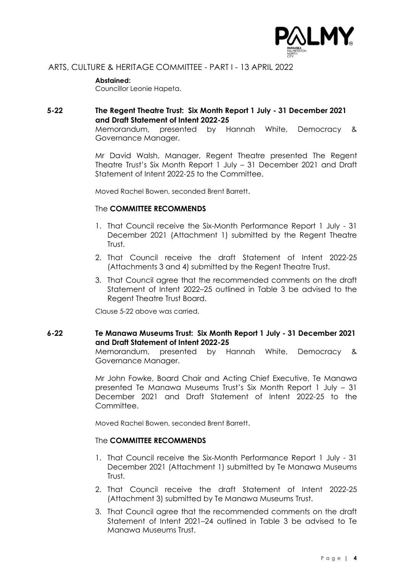

#### **Abstained:**

Councillor Leonie Hapeta.

#### **5-22 The Regent Theatre Trust: Six Month Report 1 July - 31 December 2021 and Draft Statement of Intent 2022-25**

Memorandum, presented by Hannah White, Democracy & Governance Manager.

Mr David Walsh, Manager, Regent Theatre presented The Regent Theatre Trust's Six Month Report 1 July – 31 December 2021 and Draft Statement of Intent 2022-25 to the Committee.

Moved Rachel Bowen, seconded Brent Barrett.

#### The **COMMITTEE RECOMMENDS**

- 1. That Council receive the Six-Month Performance Report 1 July 31 December 2021 (Attachment 1) submitted by the Regent Theatre Trust.
- 2. That Council receive the draft Statement of Intent 2022-25 (Attachments 3 and 4) submitted by the Regent Theatre Trust.
- 3. That Council agree that the recommended comments on the draft Statement of Intent 2022–25 outlined in Table 3 be advised to the Regent Theatre Trust Board.

Clause 5-22 above was carried.

## **6-22 Te Manawa Museums Trust: Six Month Report 1 July - 31 December 2021 and Draft Statement of Intent 2022-25**

Memorandum, presented by Hannah White, Democracy & Governance Manager.

Mr John Fowke, Board Chair and Acting Chief Executive, Te Manawa presented Te Manawa Museums Trust's Six Month Report 1 July – 31 December 2021 and Draft Statement of Intent 2022-25 to the Committee.

Moved Rachel Bowen, seconded Brent Barrett.

#### The **COMMITTEE RECOMMENDS**

- 1. That Council receive the Six-Month Performance Report 1 July 31 December 2021 (Attachment 1) submitted by Te Manawa Museums Trust.
- 2. That Council receive the draft Statement of Intent 2022-25 (Attachment 3) submitted by Te Manawa Museums Trust.
- 3. That Council agree that the recommended comments on the draft Statement of Intent 2021–24 outlined in Table 3 be advised to Te Manawa Museums Trust.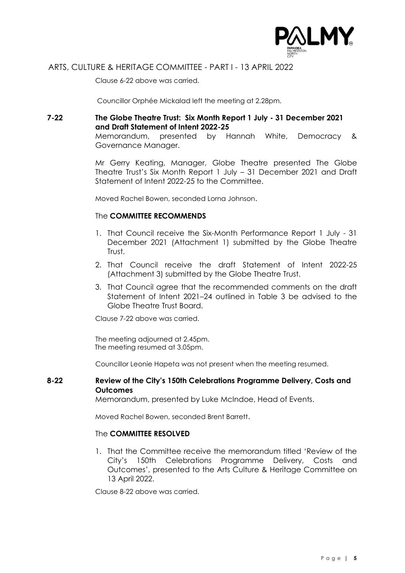

Clause 6-22 above was carried.

Councillor Orphée Mickalad left the meeting at 2.28pm.

# **7-22 The Globe Theatre Trust: Six Month Report 1 July - 31 December 2021 and Draft Statement of Intent 2022-25**

Memorandum, presented by Hannah White, Democracy & Governance Manager.

Mr Gerry Keating, Manager, Globe Theatre presented The Globe Theatre Trust's Six Month Report 1 July – 31 December 2021 and Draft Statement of Intent 2022-25 to the Committee.

Moved Rachel Bowen, seconded Lorna Johnson.

#### The **COMMITTEE RECOMMENDS**

- 1. That Council receive the Six-Month Performance Report 1 July 31 December 2021 (Attachment 1) submitted by the Globe Theatre Trust.
- 2. That Council receive the draft Statement of Intent 2022-25 (Attachment 3) submitted by the Globe Theatre Trust.
- 3. That Council agree that the recommended comments on the draft Statement of Intent 2021–24 outlined in Table 3 be advised to the Globe Theatre Trust Board.

Clause 7-22 above was carried.

The meeting adjourned at 2.45pm. The meeting resumed at 3.05pm.

Councillor Leonie Hapeta was not present when the meeting resumed.

#### **8-22 Review of the City's 150th Celebrations Programme Delivery, Costs and Outcomes**

Memorandum, presented by Luke McIndoe, Head of Events.

Moved Rachel Bowen, seconded Brent Barrett.

#### The **COMMITTEE RESOLVED**

1. That the Committee receive the memorandum titled 'Review of the City's 150th Celebrations Programme Delivery, Costs and Outcomes', presented to the Arts Culture & Heritage Committee on 13 April 2022.

Clause 8-22 above was carried.